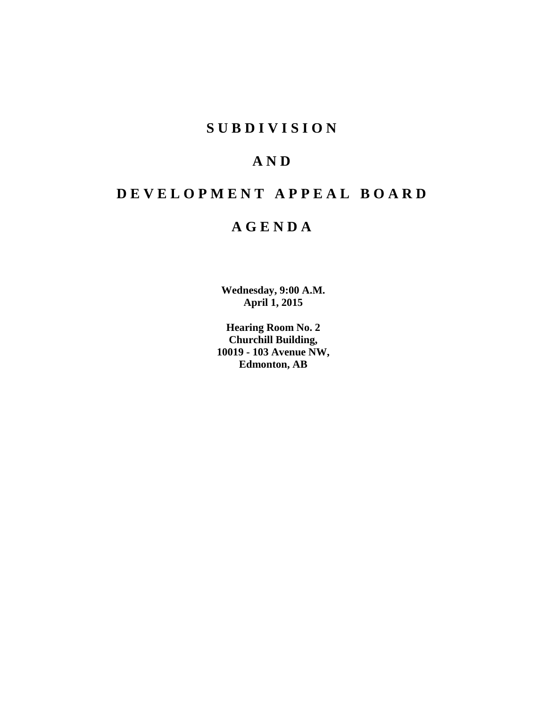# **S U B D I V I S I O N**

# **A N D**

# **D E V E L O P M E N T A P P E A L B O A R D**

# **A G E N D A**

**Wednesday, 9:00 A.M. April 1, 2015**

**Hearing Room No. 2 Churchill Building, 10019 - 103 Avenue NW, Edmonton, AB**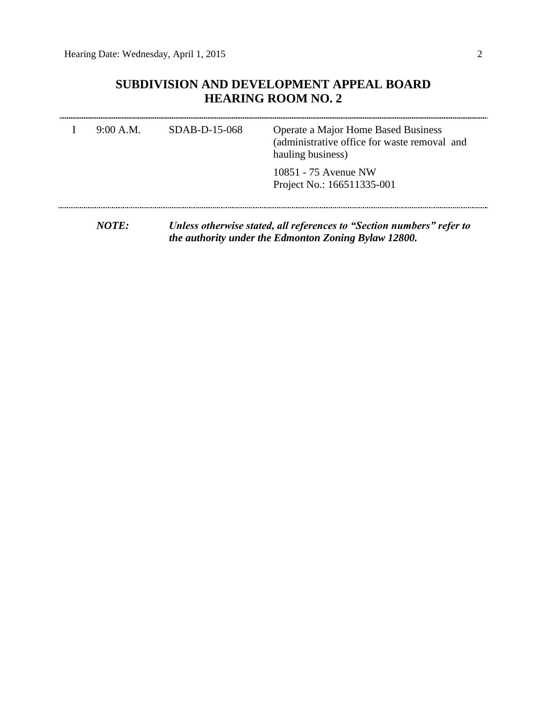## **SUBDIVISION AND DEVELOPMENT APPEAL BOARD HEARING ROOM NO. 2**

| 9:00 A.M.    | SDAB-D-15-068 | <b>Operate a Major Home Based Business</b><br>(administrative office for waste removal and<br>hauling business) |
|--------------|---------------|-----------------------------------------------------------------------------------------------------------------|
|              |               | 10851 - 75 Avenue NW<br>Project No.: 166511335-001                                                              |
| <i>NOTE:</i> |               | Unless otherwise stated, all references to "Section numbers" refer to                                           |

*the authority under the Edmonton Zoning Bylaw 12800.*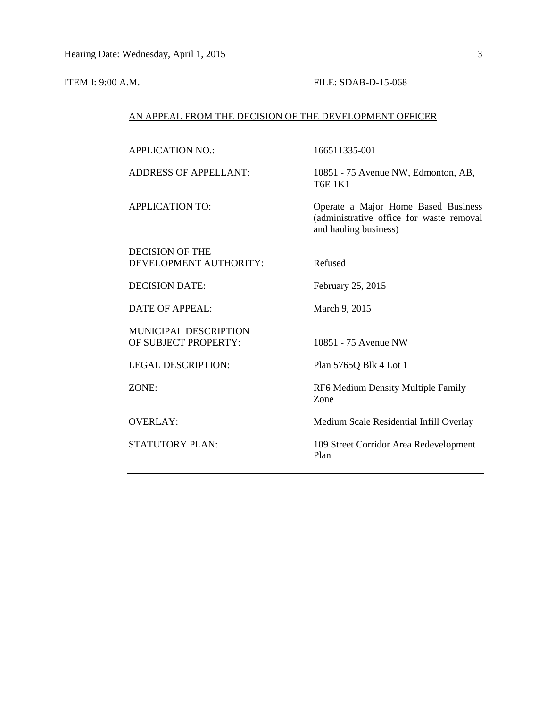#### ITEM I: 9:00 A.M. **FILE: SDAB-D-15-068**

### AN APPEAL FROM THE DECISION OF THE DEVELOPMENT OFFICER

APPLICATION NO.: 166511335-001

DECISION OF THE DEVELOPMENT AUTHORITY: Refused

DECISION DATE: February 25, 2015

DATE OF APPEAL: March 9, 2015

MUNICIPAL DESCRIPTION OF SUBJECT PROPERTY: 10851 - 75 Avenue NW

LEGAL DESCRIPTION: Plan 5765Q Blk 4 Lot 1

ADDRESS OF APPELLANT: 10851 - 75 Avenue NW, Edmonton, AB, T6E 1K1

APPLICATION TO: Operate a Major Home Based Business (administrative office for waste removal and hauling business)

ZONE: RF6 Medium Density Multiple Family Zone

OVERLAY: Medium Scale Residential Infill Overlay

STATUTORY PLAN: 109 Street Corridor Area Redevelopment Plan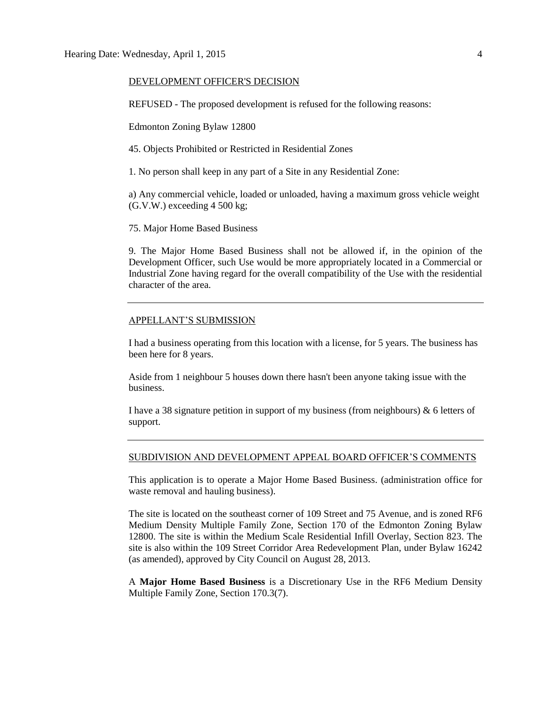#### DEVELOPMENT OFFICER'S DECISION

REFUSED - The proposed development is refused for the following reasons:

Edmonton Zoning Bylaw 12800

45. Objects Prohibited or Restricted in Residential Zones

1. No person shall keep in any part of a Site in any Residential Zone:

a) Any commercial vehicle, loaded or unloaded, having a maximum gross vehicle weight (G.V.W.) exceeding 4 500 kg;

75. Major Home Based Business

9. The Major Home Based Business shall not be allowed if, in the opinion of the Development Officer, such Use would be more appropriately located in a Commercial or Industrial Zone having regard for the overall compatibility of the Use with the residential character of the area.

#### APPELLANT'S SUBMISSION

I had a business operating from this location with a license, for 5 years. The business has been here for 8 years.

Aside from 1 neighbour 5 houses down there hasn't been anyone taking issue with the business.

I have a 38 signature petition in support of my business (from neighbours)  $\&$  6 letters of support.

#### SUBDIVISION AND DEVELOPMENT APPEAL BOARD OFFICER'S COMMENTS

This application is to operate a Major Home Based Business. (administration office for waste removal and hauling business).

The site is located on the southeast corner of 109 Street and 75 Avenue, and is zoned RF6 Medium Density Multiple Family Zone, Section 170 of the Edmonton Zoning Bylaw 12800. The site is within the Medium Scale Residential Infill Overlay, Section 823. The site is also within the 109 Street Corridor Area Redevelopment Plan, under Bylaw 16242 (as amended), approved by City Council on August 28, 2013.

A **Major Home Based Business** is a Discretionary Use in the RF6 Medium Density Multiple Family Zone, Section 170.3(7).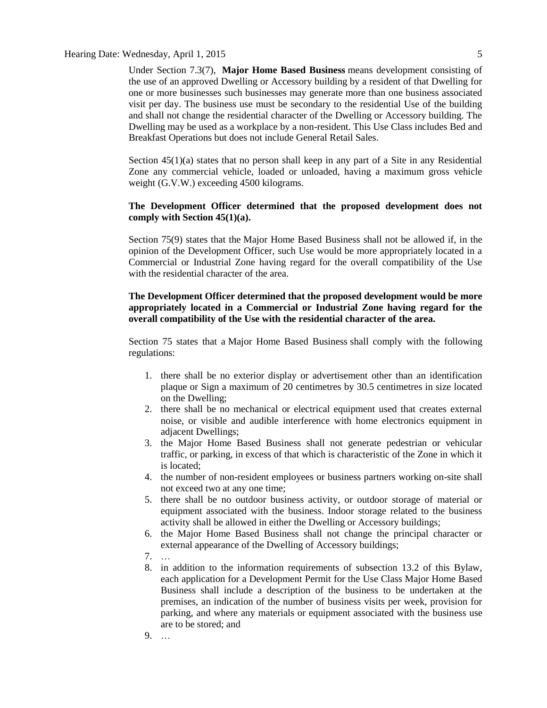### Hearing Date: Wednesday, April 1, 2015

Under Section 7.3(7), **Major Home Based Business** means development consisting of the use of an approved Dwelling or Accessory building by a resident of that Dwelling for one or more businesses such businesses may generate more than one business associated visit per day. The business use must be secondary to the residential Use of the building and shall not change the residential character of the Dwelling or Accessory building. The Dwelling may be used as a workplace by a non-resident. This Use Class includes Bed and Breakfast Operations but does not include General Retail Sales.

Section  $45(1)(a)$  states that no person shall keep in any part of a Site in any Residential Zone any commercial vehicle, loaded or unloaded, having a maximum gross vehicle weight (G.V.W.) exceeding 4500 kilograms.

### **The Development Officer determined that the proposed development does not comply with Section 45(1)(a).**

Section 75(9) states that the [Major Home Based Business](javascript:void(0);) shall not be allowed if, in the opinion of the Development Officer, such Use would be more appropriately located in a Commercial or Industrial Zone having regard for the overall compatibility of the Use with the residential character of the area.

### **The Development Officer determined that the proposed development would be more appropriately located in a Commercial or Industrial Zone having regard for the overall compatibility of the Use with the residential character of the area.**

Section 75 states that a [Major Home Based Business](javascript:void(0);) shall comply with the following regulations:

- 1. there shall be no exterior display or advertisement other than an identification plaque or Sign a maximum of 20 centimetres by 30.5 centimetres in size located on the Dwelling;
- 2. there shall be no mechanical or electrical equipment used that creates external noise, or visible and audible interference with home electronics equipment in adjacent Dwellings;
- 3. the Major Home Based Business shall not generate pedestrian or vehicular traffic, or parking, in excess of that which is characteristic of the Zone in which it is located;
- 4. the number of non-resident employees or business partners working on-site shall not exceed two at any one time;
- 5. there shall be no outdoor business activity, or outdoor storage of material or equipment associated with the business. Indoor storage related to the business activity shall be allowed in either the Dwelling or Accessory buildings;
- 6. the Major Home Based Business shall not change the principal character or external appearance of the Dwelling of Accessory buildings;
- 7. …
- 8. in addition to the information requirements of subsection 13.2 of this Bylaw, each application for a Development Permit for the Use Class Major Home Based Business shall include a description of the business to be undertaken at the premises, an indication of the number of business visits per week, provision for parking, and where any materials or equipment associated with the business use are to be stored; and
- 9. …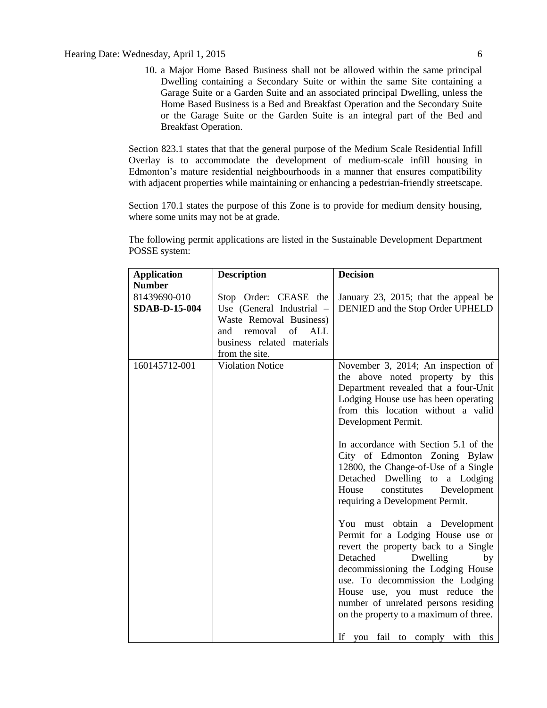10. a Major Home Based Business shall not be allowed within the same principal Dwelling containing a Secondary Suite or within the same Site containing a Garage Suite or a Garden Suite and an associated principal Dwelling, unless the Home Based Business is a Bed and Breakfast Operation and the Secondary Suite or the Garage Suite or the Garden Suite is an integral part of the Bed and Breakfast Operation.

Section 823.1 states that that the general purpose of the Medium Scale Residential Infill Overlay is to accommodate the development of medium-scale infill housing in Edmonton's mature residential neighbourhoods in a manner that ensures compatibility with adjacent properties while maintaining or enhancing a pedestrian-friendly streetscape.

Section 170.1 states the purpose of this Zone is to provide for medium density housing, where some units may not be at grade.

The following permit applications are listed in the Sustainable Development Department POSSE system:

| <b>Application</b>   | <b>Description</b>          | <b>Decision</b>                        |
|----------------------|-----------------------------|----------------------------------------|
| <b>Number</b>        |                             |                                        |
| 81439690-010         | Stop Order: CEASE the       | January 23, 2015; that the appeal be   |
| <b>SDAB-D-15-004</b> | Use (General Industrial –   | DENIED and the Stop Order UPHELD       |
|                      | Waste Removal Business)     |                                        |
|                      | removal<br>of<br>ALL<br>and |                                        |
|                      | business related materials  |                                        |
|                      | from the site.              |                                        |
| 160145712-001        | <b>Violation Notice</b>     | November 3, 2014; An inspection of     |
|                      |                             | the above noted property by this       |
|                      |                             | Department revealed that a four-Unit   |
|                      |                             | Lodging House use has been operating   |
|                      |                             | from this location without a valid     |
|                      |                             | Development Permit.                    |
|                      |                             |                                        |
|                      |                             | In accordance with Section 5.1 of the  |
|                      |                             | City of Edmonton Zoning Bylaw          |
|                      |                             | 12800, the Change-of-Use of a Single   |
|                      |                             | Detached Dwelling to a Lodging         |
|                      |                             | House<br>constitutes<br>Development    |
|                      |                             | requiring a Development Permit.        |
|                      |                             |                                        |
|                      |                             | You must obtain a Development          |
|                      |                             | Permit for a Lodging House use or      |
|                      |                             | revert the property back to a Single   |
|                      |                             | Detached<br>Dwelling<br>by             |
|                      |                             | decommissioning the Lodging House      |
|                      |                             | use. To decommission the Lodging       |
|                      |                             | House use, you must reduce the         |
|                      |                             | number of unrelated persons residing   |
|                      |                             | on the property to a maximum of three. |
|                      |                             |                                        |
|                      |                             | If you fail to comply with this        |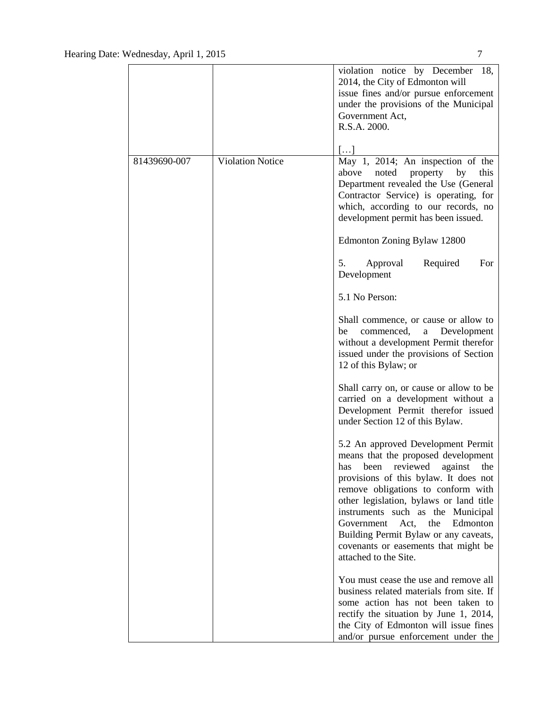|              |                         | violation notice by December<br>18,<br>2014, the City of Edmonton will<br>issue fines and/or pursue enforcement<br>under the provisions of the Municipal<br>Government Act,<br>R.S.A. 2000.                                                                                                                                                                                                                                  |
|--------------|-------------------------|------------------------------------------------------------------------------------------------------------------------------------------------------------------------------------------------------------------------------------------------------------------------------------------------------------------------------------------------------------------------------------------------------------------------------|
| 81439690-007 | <b>Violation Notice</b> | $[\dots]$<br>May 1, 2014; An inspection of the<br>above<br>this<br>noted<br>property<br>by<br>Department revealed the Use (General<br>Contractor Service) is operating, for<br>which, according to our records, no<br>development permit has been issued.                                                                                                                                                                    |
|              |                         | Edmonton Zoning Bylaw 12800                                                                                                                                                                                                                                                                                                                                                                                                  |
|              |                         | 5.<br>Approval<br>Required<br>For<br>Development                                                                                                                                                                                                                                                                                                                                                                             |
|              |                         | 5.1 No Person:                                                                                                                                                                                                                                                                                                                                                                                                               |
|              |                         | Shall commence, or cause or allow to<br>commenced,<br>a<br>Development<br>be<br>without a development Permit therefor<br>issued under the provisions of Section<br>12 of this Bylaw; or                                                                                                                                                                                                                                      |
|              |                         | Shall carry on, or cause or allow to be<br>carried on a development without a<br>Development Permit therefor issued<br>under Section 12 of this Bylaw.                                                                                                                                                                                                                                                                       |
|              |                         | 5.2 An approved Development Permit<br>means that the proposed development<br>has been reviewed against the<br>provisions of this bylaw. It does not<br>remove obligations to conform with<br>other legislation, bylaws or land title<br>instruments such as the Municipal<br>Government<br>Act,<br>the<br>Edmonton<br>Building Permit Bylaw or any caveats,<br>covenants or easements that might be<br>attached to the Site. |
|              |                         | You must cease the use and remove all<br>business related materials from site. If<br>some action has not been taken to<br>rectify the situation by June 1, 2014,<br>the City of Edmonton will issue fines<br>and/or pursue enforcement under the                                                                                                                                                                             |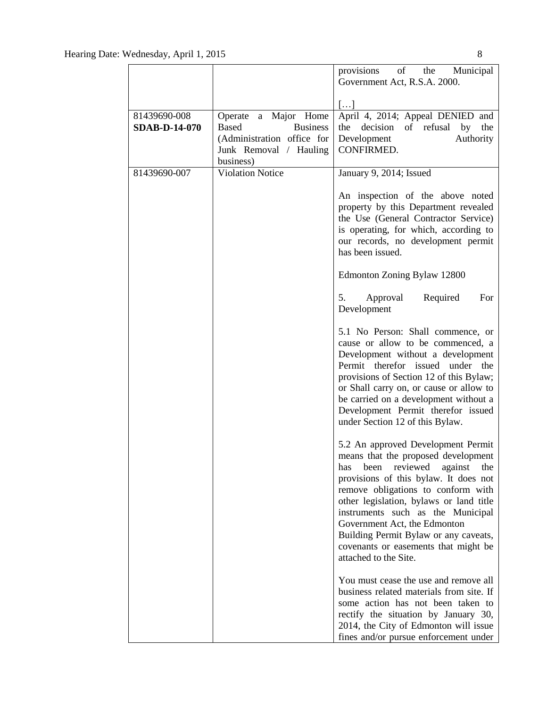|                                      |                                                                                                                              | provisions<br>$of$ <sup><math>-</math></sup><br>the<br>Municipal<br>Government Act, R.S.A. 2000.                                                                                                                                                                                                                                                                                                                    |
|--------------------------------------|------------------------------------------------------------------------------------------------------------------------------|---------------------------------------------------------------------------------------------------------------------------------------------------------------------------------------------------------------------------------------------------------------------------------------------------------------------------------------------------------------------------------------------------------------------|
|                                      |                                                                                                                              |                                                                                                                                                                                                                                                                                                                                                                                                                     |
| 81439690-008<br><b>SDAB-D-14-070</b> | Operate a Major Home<br><b>Based</b><br><b>Business</b><br>(Administration office for<br>Junk Removal / Hauling<br>business) | $\left[\ldots\right]$<br>April 4, 2014; Appeal DENIED and<br>decision of refusal by<br>the<br>the<br>Development<br>Authority<br>CONFIRMED.                                                                                                                                                                                                                                                                         |
| 81439690-007                         | <b>Violation Notice</b>                                                                                                      | January 9, 2014; Issued                                                                                                                                                                                                                                                                                                                                                                                             |
|                                      |                                                                                                                              | An inspection of the above noted<br>property by this Department revealed<br>the Use (General Contractor Service)<br>is operating, for which, according to<br>our records, no development permit<br>has been issued.                                                                                                                                                                                                 |
|                                      |                                                                                                                              | Edmonton Zoning Bylaw 12800                                                                                                                                                                                                                                                                                                                                                                                         |
|                                      |                                                                                                                              | Approval<br>Required<br>For<br>5.<br>Development                                                                                                                                                                                                                                                                                                                                                                    |
|                                      |                                                                                                                              | 5.1 No Person: Shall commence, or<br>cause or allow to be commenced, a<br>Development without a development<br>Permit therefor issued<br>the<br>under<br>provisions of Section 12 of this Bylaw;<br>or Shall carry on, or cause or allow to<br>be carried on a development without a<br>Development Permit therefor issued<br>under Section 12 of this Bylaw.                                                       |
|                                      |                                                                                                                              | 5.2 An approved Development Permit<br>means that the proposed development<br>has been reviewed against the<br>provisions of this bylaw. It does not<br>remove obligations to conform with<br>other legislation, bylaws or land title<br>instruments such as the Municipal<br>Government Act, the Edmonton<br>Building Permit Bylaw or any caveats,<br>covenants or easements that might be<br>attached to the Site. |
|                                      |                                                                                                                              | You must cease the use and remove all<br>business related materials from site. If<br>some action has not been taken to<br>rectify the situation by January 30,<br>2014, the City of Edmonton will issue<br>fines and/or pursue enforcement under                                                                                                                                                                    |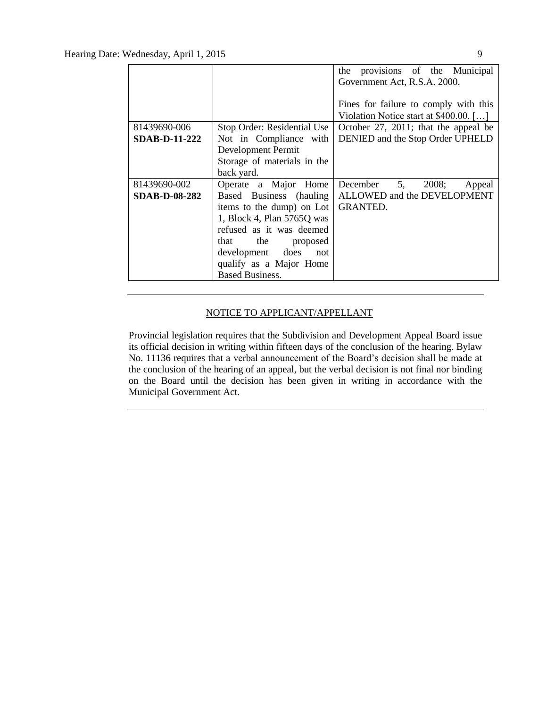|                      |                             | the provisions of the Municipal                       |
|----------------------|-----------------------------|-------------------------------------------------------|
|                      |                             | Government Act, R.S.A. 2000.                          |
|                      |                             |                                                       |
|                      |                             | Fines for failure to comply with this                 |
|                      |                             | Violation Notice start at $$400.00$ . []              |
| 81439690-006         | Stop Order: Residential Use | October 27, 2011; that the appeal be                  |
| <b>SDAB-D-11-222</b> | Not in Compliance with      | DENIED and the Stop Order UPHELD                      |
|                      | Development Permit          |                                                       |
|                      | Storage of materials in the |                                                       |
|                      | back yard.                  |                                                       |
| 81439690-002         | Operate a Major Home        | December $5, 2008;$<br>Appeal                         |
| <b>SDAB-D-08-282</b> |                             | Based Business (hauling   ALLOWED and the DEVELOPMENT |
|                      | items to the dump) on Lot   | <b>GRANTED.</b>                                       |
|                      | 1, Block 4, Plan 5765Q was  |                                                       |
|                      | refused as it was deemed    |                                                       |
|                      | that the proposed           |                                                       |
|                      | development does not        |                                                       |
|                      | qualify as a Major Home     |                                                       |
|                      | <b>Based Business.</b>      |                                                       |

### NOTICE TO APPLICANT/APPELLANT

Provincial legislation requires that the Subdivision and Development Appeal Board issue its official decision in writing within fifteen days of the conclusion of the hearing. Bylaw No. 11136 requires that a verbal announcement of the Board's decision shall be made at the conclusion of the hearing of an appeal, but the verbal decision is not final nor binding on the Board until the decision has been given in writing in accordance with the Municipal Government Act.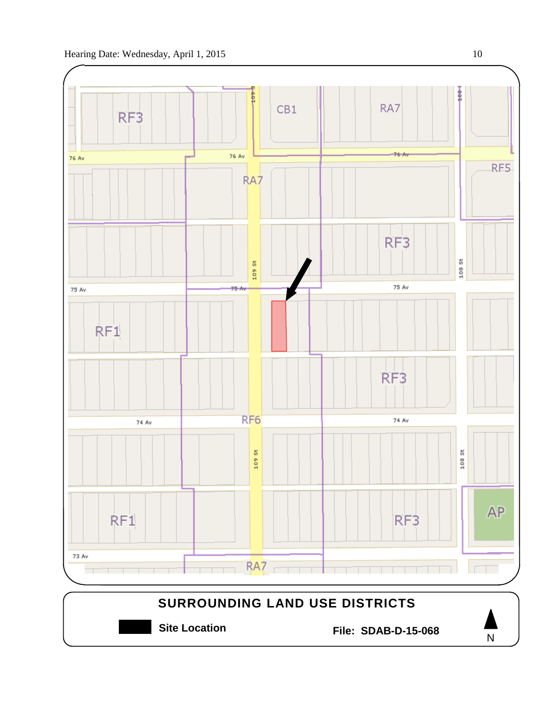